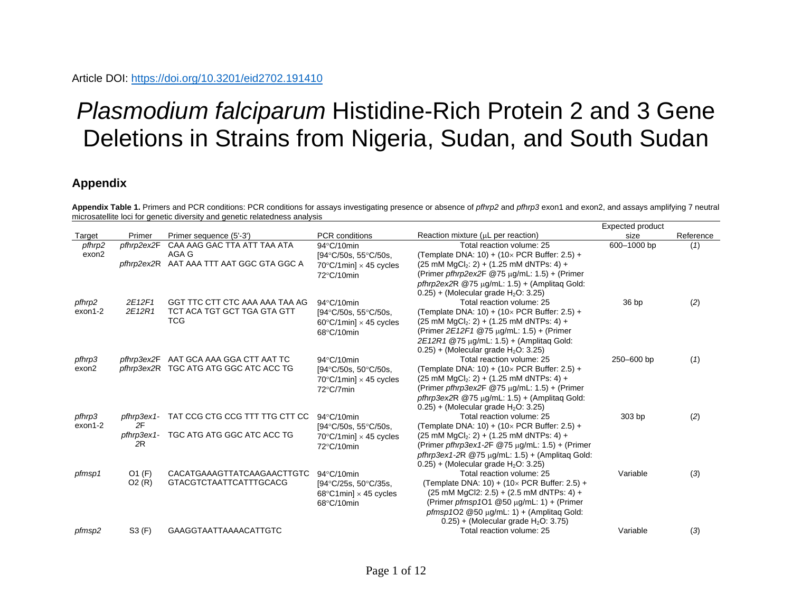## *Plasmodium falciparum* Histidine-Rich Protein 2 and 3 Gene Deletions in Strains from Nigeria, Sudan, and South Sudan

## **Appendix**

**Appendix Table 1.** Primers and PCR conditions: PCR conditions for assays investigating presence or absence of *pfhrp2* and *pfhrp3* exon1 and exon2, and assays amplifying 7 neutral microsatellite loci for genetic diversity and genetic relatedness analysis Expected product

|         |            |                                          |                                         |                                                              | Expected product |           |
|---------|------------|------------------------------------------|-----------------------------------------|--------------------------------------------------------------|------------------|-----------|
| Target  | Primer     | Primer sequence (5'-3')                  | <b>PCR</b> conditions                   | Reaction mixture $(\mu L$ per reaction)                      | size             | Reference |
| pfhrp2  | pfhrp2ex2F | CAA AAG GAC TTA ATT TAA ATA              | 94°C/10min                              | Total reaction volume: 25                                    | 600-1000 bp      | (1)       |
| exon2   |            | AGA G                                    | $[94^{\circ}C/50s, 55^{\circ}C/50s,$    | (Template DNA: 10) + $(10 \times PCR$ Buffer: 2.5) +         |                  |           |
|         |            | pfhrp2ex2R AAT AAA TTT AAT GGC GTA GGC A | $70^{\circ}$ C/1min] $\times$ 45 cycles | $(25 \text{ mM } MgCl2: 2) + (1.25 \text{ mM } dNTPs: 4) +$  |                  |           |
|         |            |                                          | 72°C/10min                              | (Primer pfhrp2ex2F $@75 \mu g/mL$ : 1.5) + (Primer           |                  |           |
|         |            |                                          |                                         | pfhrp2ex2R $@75 \mu g/mL$ : 1.5) + (Amplitag Gold:           |                  |           |
|         |            |                                          |                                         | $0.25$ ) + (Molecular grade H <sub>2</sub> O: 3.25)          |                  |           |
| pfhrp2  | 2E12F1     | GGT TTC CTT CTC AAA AAA TAA AG           | 94°C/10min                              | Total reaction volume: 25                                    | 36 bp            | (2)       |
| exon1-2 | 2E12R1     | TCT ACA TGT GCT TGA GTA GTT              | [94°C/50s, 55°C/50s,                    | (Template DNA: 10) + $(10 \times PCR$ Buffer: 2.5) +         |                  |           |
|         |            | <b>TCG</b>                               | $60^{\circ}$ C/1min] $\times$ 45 cycles | $(25 \text{ mM } MgCl2: 2) + (1.25 \text{ mM } dNTPs: 4) +$  |                  |           |
|         |            |                                          | 68°C/10min                              | (Primer 2E12F1 @75 µg/mL: 1.5) + (Primer                     |                  |           |
|         |            |                                          |                                         | 2E12R1 @75 ug/mL: 1.5) + (Amplitag Gold:                     |                  |           |
|         |            |                                          |                                         | $0.25$ ) + (Molecular grade $H_2O$ : 3.25)                   |                  |           |
| pfhrp3  | pfhrp3ex2F | AAT GCA AAA GGA CTT AAT TC               | $94^{\circ}$ C/10min                    | Total reaction volume: 25                                    | 250-600 bp       | (1)       |
| exon2   |            | pfhrp3ex2R TGC ATG ATG GGC ATC ACC TG    | [94°C/50s, 50°C/50s,                    | (Template DNA: 10) + $(10 \times PCR$ Buffer: 2.5) +         |                  |           |
|         |            |                                          | $70^{\circ}$ C/1min] $\times$ 45 cycles | $(25 \text{ mM } MgCl2: 2) + (1.25 \text{ mM } dNTPs: 4) +$  |                  |           |
|         |            |                                          | 72°C/7min                               | (Primer pfhrp3ex2F $@75 \mu q/mL$ : 1.5) + (Primer           |                  |           |
|         |            |                                          |                                         | pfhrp3ex2R $@75 \mu q/mL$ : 1.5) + (Amplitag Gold:           |                  |           |
|         |            |                                          |                                         | $0.25$ ) + (Molecular grade H <sub>2</sub> O: 3.25)          |                  |           |
| pfhrp3  | pfhrp3ex1- | TAT CCG CTG CCG TTT TTG CTT CC           | 94°C/10min                              | Total reaction volume: 25                                    | 303 bp           | (2)       |
| exon1-2 | 2F         |                                          | $[94^{\circ}C/50s, 55^{\circ}C/50s,$    | (Template DNA: 10) + $(10 \times PCR$ Buffer: 2.5) +         |                  |           |
|         | pfhrp3ex1- | TGC ATG ATG GGC ATC ACC TG               | $70^{\circ}$ C/1min] $\times$ 45 cycles | $(25 \text{ mM } MgCl2: 2) + (1.25 \text{ mM } dNTPs: 4) +$  |                  |           |
|         | 2R         |                                          | 72°C/10min                              | (Primer pfhrp3ex1-2F @75 µq/mL: 1.5) + (Primer               |                  |           |
|         |            |                                          |                                         | pfhrp3ex1-2R $@75 \mu q/mL$ : 1.5) + (Amplitag Gold:         |                  |           |
|         |            |                                          |                                         | $0.25$ ) + (Molecular grade H <sub>2</sub> O: 3.25)          |                  |           |
| pfmsp1  | $O1$ (F)   | CACATGAAAGTTATCAAGAACTTGTC               | 94°C/10min                              | Total reaction volume: 25                                    | Variable         | (3)       |
|         | O2(R)      | <b>GTACGTCTAATTCATTTGCACG</b>            | $[94^{\circ}C/25s, 50^{\circ}C/35s,$    | (Template DNA: 10) + $(10 \times PCR$ Buffer: 2.5) +         |                  |           |
|         |            |                                          | $68^{\circ}$ C1min] $\times$ 45 cycles  | $(25 \text{ mM } MgCl2: 2.5) + (2.5 \text{ mM } dNTPs: 4) +$ |                  |           |
|         |            |                                          | 68°C/10min                              | (Primer pfmsp1O1 $@50 \mu g/mL$ : 1) + (Primer               |                  |           |
|         |            |                                          |                                         | pfmsp1O2 @50 $\mu$ g/mL: 1) + (Amplitaq Gold:                |                  |           |
|         |            |                                          |                                         | $0.25$ ) + (Molecular grade H <sub>2</sub> O: 3.75)          |                  |           |
| pfmsp2  | S3(F)      | <b>GAAGGTAATTAAAACATTGTC</b>             |                                         | Total reaction volume: 25                                    | Variable         | (3)       |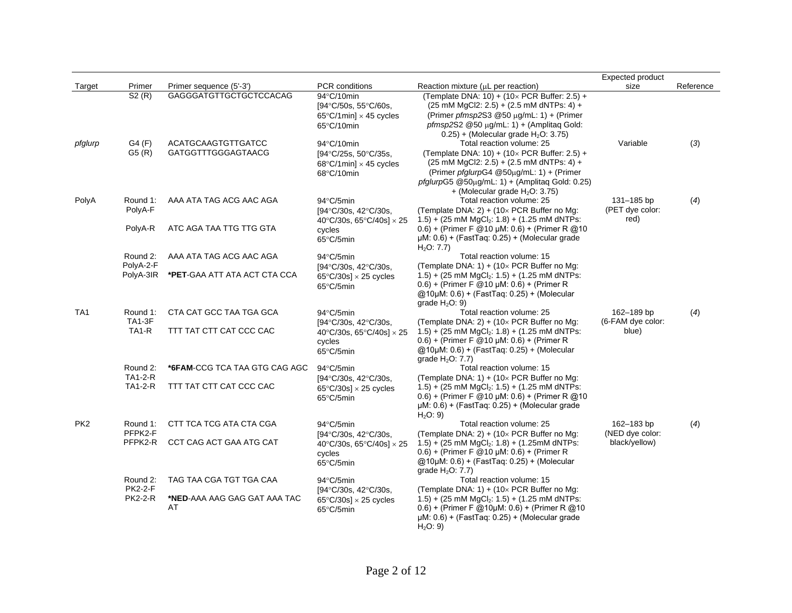|                 |                                                 |                                                               |                                                                                             |                                                                                                                                                                                                                                                                                                                 | <b>Expected product</b>                        |           |
|-----------------|-------------------------------------------------|---------------------------------------------------------------|---------------------------------------------------------------------------------------------|-----------------------------------------------------------------------------------------------------------------------------------------------------------------------------------------------------------------------------------------------------------------------------------------------------------------|------------------------------------------------|-----------|
| Target          | Primer                                          | Primer sequence (5'-3')                                       | <b>PCR</b> conditions                                                                       | Reaction mixture (µL per reaction)                                                                                                                                                                                                                                                                              | size                                           | Reference |
|                 | S2(R)                                           | GAGGGATGTTGCTGCTCCACAG                                        | 94°C/10min<br>[94°C/50s, 55°C/60s,<br>65 $\degree$ C/1min] $\times$ 45 cycles<br>65°C/10min | (Template DNA: 10) + $(10 \times PCR$ Buffer: 2.5) +<br>$(25 \text{ mM } \text{MgCl2: } 2.5) + (2.5 \text{ mM } \text{dNTPs: } 4) +$<br>(Primer pfmsp2S3 @50 µg/mL: 1) + (Primer<br>pfmsp2S2 @50 µg/mL: 1) + (Amplitaq Gold:<br>$0.25$ ) + (Molecular grade H <sub>2</sub> O: 3.75)                             |                                                |           |
| pfglurp         | G4(F)<br>G5(R)                                  | ACATGCAAGTGTTGATCC<br><b>GATGGTTTGGGAGTAACG</b>               | 94°C/10min<br>[94°C/25s, 50°C/35s,<br>68 $\degree$ C/1min] $\times$ 45 cycles<br>68°C/10min | Total reaction volume: 25<br>(Template DNA: 10) + (10 $\times$ PCR Buffer: 2.5) +<br>$(25 \text{ mM } \text{MgCl2: } 2.5) + (2.5 \text{ mM } \text{dNTPs: } 4) +$<br>(Primer pfglurpG4 @50µg/mL: 1) + (Primer<br>pfglurpG5 @50µg/mL: 1) + (Amplitaq Gold: 0.25)<br>+ (Molecular grade $H_2O: 3.75$ )            | Variable                                       | (3)       |
| PolyA           | Round 1:<br>PolyA-F<br>PolyA-R                  | AAA ATA TAG ACG AAC AGA<br>ATC AGA TAA TTG TTG GTA            | 94°C/5min<br>[94°C/30s, 42°C/30s,<br>40°C/30s, 65°C/40s] $\times$ 25<br>cycles<br>65°C/5min | Total reaction volume: 25<br>(Template DNA: 2) + $(10 \times PCR)$ Buffer no Mg:<br>$1.5$ ) + (25 mM MgCl <sub>2</sub> : 1.8) + (1.25 mM dNTPs:<br>$(0.6) + (Primer F @ 10 \mu M: 0.6) + (Primer R @ 10$<br>$\mu$ M: 0.6) + (FastTaq: 0.25) + (Molecular grade                                                  | 131-185 bp<br>(PET dye color:<br>red)          | (4)       |
|                 | Round 2:<br>PolyA-2-F                           | AAA ATA TAG ACG AAC AGA                                       | 94°C/5min<br>$[94^{\circ}C/30s, 42^{\circ}C/30s]$                                           | H <sub>2</sub> O: 7.7<br>Total reaction volume: 15<br>(Template DNA: 1) + (10 $\times$ PCR Buffer no Mg:                                                                                                                                                                                                        |                                                |           |
|                 | PolyA-3IR                                       | *PET-GAA ATT ATA ACT CTA CCA                                  | $65^{\circ}$ C/30s] $\times$ 25 cycles<br>65°C/5min                                         | 1.5) + (25 mM $MgCl2: 1.5$ ) + (1.25 mM dNTPs:<br>$(0.6) + (Primer F @ 10 \mu M: 0.6) + (Primer R)$<br>@10µM: 0.6) + (FastTaq: 0.25) + (Molecular<br>grade $H2O$ : 9)                                                                                                                                           |                                                |           |
| TA <sub>1</sub> | Round 1:<br><b>TA1-3F</b><br>TA <sub>1</sub> -R | CTA CAT GCC TAA TGA GCA<br>TTT TAT CTT CAT CCC CAC            | 94°C/5min<br>[94°C/30s, 42°C/30s,<br>40°C/30s, 65°C/40s] $\times$ 25<br>cycles<br>65°C/5min | Total reaction volume: 25<br>(Template DNA: 2) + (10 $\times$ PCR Buffer no Mg:<br>$1.5$ ) + (25 mM MgCl <sub>2</sub> : 1.8) + (1.25 mM dNTPs:<br>$(0.6) + (Primer F @ 10 \mu M: 0.6) + (Primer R)$<br>@10µM: 0.6) + (FastTaq: 0.25) + (Molecular<br>grade $H2O: 7.7$ )                                         | 162-189 bp<br>(6-FAM dye color:<br>blue)       | (4)       |
|                 | Round 2:<br><b>TA1-2-R</b><br><b>TA1-2-R</b>    | *6FAM-CCG TCA TAA GTG CAG AGC<br>TTT TAT CTT CAT CCC CAC      | 94°C/5min<br>[94°C/30s, 42°C/30s,<br>$65^{\circ}$ C/30s] $\times$ 25 cycles<br>65°C/5min    | Total reaction volume: 15<br>(Template DNA: 1) + $(10 \times PCR)$ Buffer no Mg:<br>$(1.5) + (25 \text{ mM } \text{MqCl}_2$ : $(1.5) + (1.25 \text{ mM } \text{dNTPs})$ :<br>$(0.6) + (Primer F @ 10 \mu M: 0.6) + (Primer R @ 10$<br>$\mu$ M: 0.6) + (FastTag: 0.25) + (Molecular grade<br>H <sub>2</sub> O: 9 |                                                |           |
| PK <sub>2</sub> | Round 1:<br>PFPK2-F<br>PFPK2-R                  | CTT TCA TCG ATA CTA CGA<br>CCT CAG ACT GAA ATG CAT            | 94°C/5min<br>[94°C/30s, 42°C/30s,<br>40°C/30s, 65°C/40s] $\times$ 25<br>cycles<br>65°C/5min | Total reaction volume: 25<br>(Template DNA: 2) + (10 $\times$ PCR Buffer no Mg:<br>$1.5$ ) + (25 mM MgCl <sub>2</sub> : $1.8$ ) + (1.25mM dNTPs:<br>$(0.6) + (Primer F @ 10 \mu M: 0.6) + (Primer R)$<br>@10µM: 0.6) + (FastTaq: 0.25) + (Molecular<br>grade $H2O: 7.7$ )                                       | 162-183 bp<br>(NED dye color:<br>black/yellow) | (4)       |
|                 | Round 2:<br><b>PK2-2-F</b><br><b>PK2-2-R</b>    | TAG TAA CGA TGT TGA CAA<br>*NED-AAA AAG GAG GAT AAA TAC<br>AT | 94°C/5min<br>[94°C/30s, 42°C/30s,<br>$65^{\circ}$ C/30s] $\times$ 25 cycles<br>65°C/5min    | Total reaction volume: 15<br>(Template DNA: 1) + (10 $\times$ PCR Buffer no Mg:<br>1.5) + (25 mM $MgCl2$ : 1.5) + (1.25 mM dNTPs:<br>$(0.6) + (Primer F @ 10 \mu M: 0.6) + (Primer R @ 10$<br>$\mu$ M: 0.6) + (FastTaq: 0.25) + (Molecular grade<br>H <sub>2</sub> O: 9                                         |                                                |           |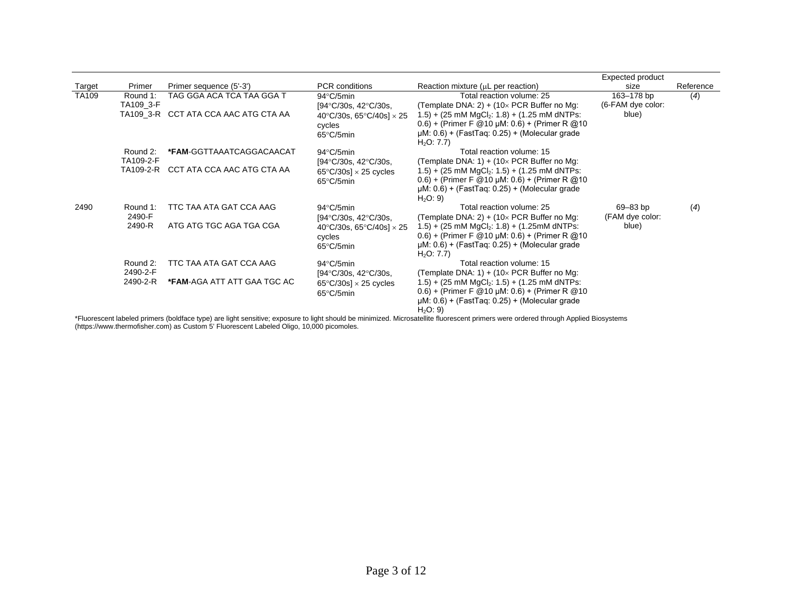|               |           |                                      |                                        |                                                                                                                                                                                     | <b>Expected product</b> |           |
|---------------|-----------|--------------------------------------|----------------------------------------|-------------------------------------------------------------------------------------------------------------------------------------------------------------------------------------|-------------------------|-----------|
| <b>Target</b> | Primer    | Primer sequence (5'-3')              | <b>PCR</b> conditions                  | Reaction mixture $(\mu L$ per reaction)                                                                                                                                             | size                    | Reference |
| <b>TA109</b>  | Round 1:  | TAG GGA ACA TCA TAA GGA T            | $94^{\circ}$ C/5min                    | Total reaction volume: 25                                                                                                                                                           | 163-178 bp              | (4)       |
|               | TA109 3-F |                                      | $[94^{\circ}C/30s, 42^{\circ}C/30s,$   | (Template DNA: 2) + (10 $\times$ PCR Buffer no Mg:                                                                                                                                  | (6-FAM dye color:       |           |
|               |           | TA109 3-R CCT ATA CCA AAC ATG CTA AA | 40°C/30s, 65°C/40s] $\times$ 25        | $(1.5) + (25 \text{ mM } \text{MgCl}_2$ : $(1.8) + (1.25 \text{ mM } \text{dNTPs})$                                                                                                 | blue)                   |           |
|               |           |                                      | cycles                                 | $(0.6) + (Primer F @ 10 \mu M: 0.6) + (Primer R @ 10$                                                                                                                               |                         |           |
|               |           |                                      | 65°C/5min                              | $\mu$ M: 0.6) + (FastTaq: 0.25) + (Molecular grade                                                                                                                                  |                         |           |
|               |           |                                      |                                        | H <sub>2</sub> O: 7.7                                                                                                                                                               |                         |           |
|               | Round 2:  | *FAM-GGTTAAATCAGGACAACAT             | $94^{\circ}$ C/5min                    | Total reaction volume: 15                                                                                                                                                           |                         |           |
|               | TA109-2-F |                                      | $[94^{\circ}C/30s, 42^{\circ}C/30s]$   | (Template DNA: 1) + $(10 \times PCR)$ Buffer no Mg:                                                                                                                                 |                         |           |
|               |           | TA109-2-R CCT ATA CCA AAC ATG CTA AA | $65^{\circ}$ C/30s] $\times$ 25 cycles | $(1.5) + (25 \text{ mM } \text{MgCl}_2$ : $(1.5) + (1.25 \text{ mM } \text{dNTPs})$                                                                                                 |                         |           |
|               |           |                                      | 65°C/5min                              | $(0.6) + (Primer F @ 10 \mu M: 0.6) + (Primer R @ 10$                                                                                                                               |                         |           |
|               |           |                                      |                                        | $\mu$ M: 0.6) + (FastTaq: 0.25) + (Molecular grade                                                                                                                                  |                         |           |
|               |           |                                      |                                        | H <sub>2</sub> O: 9                                                                                                                                                                 |                         |           |
| 2490          | Round 1:  | TTC TAA ATA GAT CCA AAG              | $94^{\circ}$ C/5min                    | Total reaction volume: 25                                                                                                                                                           | 69-83 bp                | (4)       |
|               | 2490-F    |                                      | $[94^{\circ}C/30s, 42^{\circ}C/30s,$   | (Template DNA: 2) + $(10 \times PCR)$ Buffer no Mg:                                                                                                                                 | (FAM dye color:         |           |
|               | 2490-R    | ATG ATG TGC AGA TGA CGA              | 40°C/30s, 65°C/40s] $\times$ 25        | $1.5$ ) + (25 mM MgCl <sub>2</sub> : 1.8) + (1.25mM dNTPs:                                                                                                                          | blue)                   |           |
|               |           |                                      | cycles                                 | $(0.6) + (Primer F @ 10 \mu M: 0.6) + (Primer R @ 10$                                                                                                                               |                         |           |
|               |           |                                      | 65°C/5min                              | $\mu$ M: 0.6) + (FastTaq: 0.25) + (Molecular grade<br>H <sub>2</sub> O: 7.7                                                                                                         |                         |           |
|               | Round 2:  | TTC TAA ATA GAT CCA AAG              | $94^{\circ}$ C/5min                    | Total reaction volume: 15                                                                                                                                                           |                         |           |
|               | 2490-2-F  |                                      | $[94^{\circ}C/30s, 42^{\circ}C/30s,$   | (Template DNA: 1) + $(10 \times PCR)$ Buffer no Mg:                                                                                                                                 |                         |           |
|               | 2490-2-R  | <b>*FAM-AGA ATT ATT GAA TGC AC</b>   | $65^{\circ}$ C/30s] $\times$ 25 cycles | $(1.5) + (25 \text{ mM MgCl}_2: 1.5) + (1.25 \text{ mM dNTPs})$                                                                                                                     |                         |           |
|               |           |                                      | 65°C/5min                              | $(0.6) + (Primer F @ 10 \mu M: 0.6) + (Primer R @ 10$                                                                                                                               |                         |           |
|               |           |                                      |                                        | $\mu$ M: 0.6) + (FastTaq: 0.25) + (Molecular grade                                                                                                                                  |                         |           |
|               |           |                                      |                                        | H <sub>2</sub> O: 9                                                                                                                                                                 |                         |           |
|               |           |                                      |                                        | *Fluorescent labeled primers (boldface type) are light sensitive; exposure to light should be minimized. Microsatellite fluorescent primers were ordered through Applied Biosystems |                         |           |

(https://www.thermofisher.com) as Custom 5' Fluorescent Labeled Oligo, 10,000 picomoles.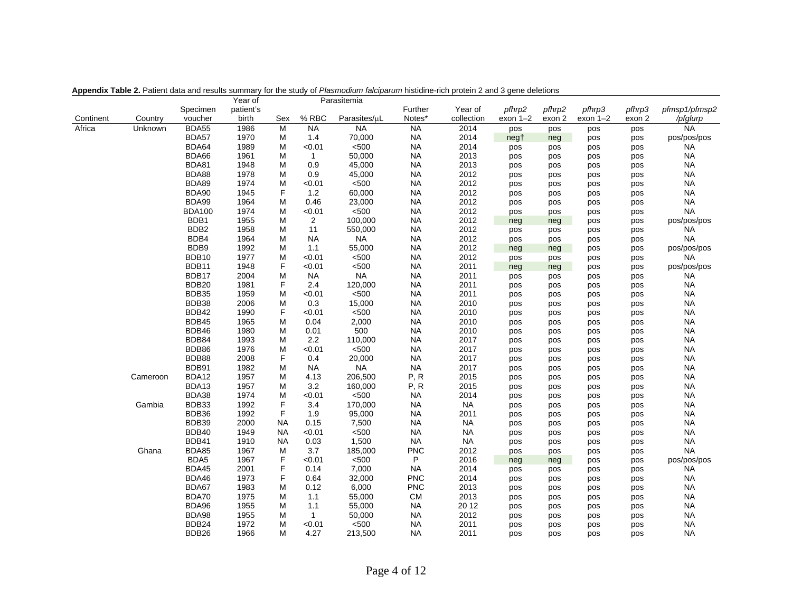|           |          |                   | Year of   |           |                | Parasitemia  |            |            |            |        |            |        |               |
|-----------|----------|-------------------|-----------|-----------|----------------|--------------|------------|------------|------------|--------|------------|--------|---------------|
|           |          | Specimen          | patient's |           |                |              | Further    | Year of    | pfhrp2     | pfhrp2 | pfhrp3     | pfhrp3 | pfmsp1/pfmsp2 |
| Continent | Country  | voucher           | birth     | Sex       | % RBC          | Parasites/µL | Notes*     | collection | $exon 1-2$ | exon 2 | $exon 1-2$ | exon 2 | /pfglurp      |
| Africa    | Unknown  | BDA55             | 1986      | M         | <b>NA</b>      | <b>NA</b>    | <b>NA</b>  | 2014       | pos        | pos    | pos        | pos    | <b>NA</b>     |
|           |          | BDA57             | 1970      | М         | 1.4            | 70,000       | <b>NA</b>  | 2014       | negt       | neg    | pos        | pos    | pos/pos/pos   |
|           |          | BDA64             | 1989      | М         | < 0.01         | < 500        | <b>NA</b>  | 2014       | pos        | pos    | pos        | pos    | <b>NA</b>     |
|           |          | BDA66             | 1961      | M         | $\mathbf{1}$   | 50,000       | <b>NA</b>  | 2013       | pos        | pos    | pos        | pos    | <b>NA</b>     |
|           |          | BDA81             | 1948      | М         | 0.9            | 45,000       | <b>NA</b>  | 2013       | pos        | pos    | pos        | pos    | <b>NA</b>     |
|           |          | BDA88             | 1978      | M         | 0.9            | 45,000       | <b>NA</b>  | 2012       | pos        | pos    | pos        | pos    | <b>NA</b>     |
|           |          | BDA89             | 1974      | M         | < 0.01         | < 500        | <b>NA</b>  | 2012       | pos        | pos    | pos        | pos    | <b>NA</b>     |
|           |          | BDA90             | 1945      | F         | 1.2            | 60,000       | <b>NA</b>  | 2012       | pos        | pos    | pos        | pos    | <b>NA</b>     |
|           |          | BDA99             | 1964      | М         | 0.46           | 23,000       | <b>NA</b>  | 2012       | pos        | pos    | pos        | pos    | <b>NA</b>     |
|           |          | <b>BDA100</b>     | 1974      | M         | < 0.01         | $500$        | <b>NA</b>  | 2012       | pos        | pos    | pos        | pos    | <b>NA</b>     |
|           |          | BDB1              | 1955      | М         | $\overline{2}$ | 100,000      | <b>NA</b>  | 2012       | neg        | neg    | pos        | pos    | pos/pos/pos   |
|           |          | BDB <sub>2</sub>  | 1958      | М         | 11             | 550,000      | <b>NA</b>  | 2012       | pos        | pos    | pos        | pos    | <b>NA</b>     |
|           |          | BDB4              | 1964      | M         | <b>NA</b>      | <b>NA</b>    | <b>NA</b>  | 2012       | pos        | pos    | pos        | pos    | <b>NA</b>     |
|           |          | BDB9              | 1992      | M         | 1.1            | 55,000       | <b>NA</b>  | 2012       | neg        | neg    | pos        | pos    | pos/pos/pos   |
|           |          | BDB10             | 1977      | M         | < 0.01         | < 500        | <b>NA</b>  | 2012       | pos        | pos    | pos        | pos    | <b>NA</b>     |
|           |          | BDB11             | 1948      | F         | < 0.01         | < 500        | <b>NA</b>  | 2011       | neg        | neg    | pos        | pos    | pos/pos/pos   |
|           |          | BDB17             | 2004      | M         | <b>NA</b>      | <b>NA</b>    | <b>NA</b>  | 2011       | pos        | pos    | pos        | pos    | <b>NA</b>     |
|           |          | BDB <sub>20</sub> | 1981      | F         | 2.4            | 120,000      | <b>NA</b>  | 2011       | pos        | pos    | pos        | pos    | <b>NA</b>     |
|           |          | BDB35             | 1959      | M         | < 0.01         | < 500        | <b>NA</b>  | 2011       | pos        | pos    | pos        | pos    | <b>NA</b>     |
|           |          | BDB38             | 2006      | M         | 0.3            | 15,000       | <b>NA</b>  | 2010       | pos        | pos    | pos        | pos    | <b>NA</b>     |
|           |          | BDB42             | 1990      | F         | < 0.01         | < 500        | <b>NA</b>  | 2010       | pos        | pos    | pos        | pos    | <b>NA</b>     |
|           |          | BDB45             | 1965      | М         | 0.04           | 2,000        | <b>NA</b>  | 2010       | pos        | pos    | pos        | pos    | <b>NA</b>     |
|           |          | BDB46             | 1980      | М         | 0.01           | 500          | <b>NA</b>  | 2010       | pos        | pos    | pos        | pos    | <b>NA</b>     |
|           |          | BDB84             | 1993      | M         | 2.2            | 110,000      | <b>NA</b>  | 2017       | pos        | pos    | pos        | pos    | <b>NA</b>     |
|           |          | BDB86             | 1976      | M         | < 0.01         | < 500        | <b>NA</b>  | 2017       | pos        | pos    | pos        | pos    | <b>NA</b>     |
|           |          | BDB88             | 2008      | F         | 0.4            | 20,000       | <b>NA</b>  | 2017       | pos        | pos    | pos        | pos    | <b>NA</b>     |
|           |          | BDB91             | 1982      | М         | <b>NA</b>      | <b>NA</b>    | <b>NA</b>  | 2017       | pos        | pos    | pos        | pos    | <b>NA</b>     |
|           | Cameroon | BDA12             | 1957      | M         | 4.13           | 206,500      | P, R       | 2015       | pos        | pos    | pos        | pos    | <b>NA</b>     |
|           |          | BDA13             | 1957      | М         | 3.2            | 160,000      | P, R       | 2015       | pos        | pos    | pos        | pos    | <b>NA</b>     |
|           |          | BDA38             | 1974      | М         | < 0.01         | $500$        | <b>NA</b>  | 2014       | pos        | pos    | pos        | pos    | <b>NA</b>     |
|           | Gambia   | BDB33             | 1992      | F         | 3.4            | 170,000      | <b>NA</b>  | <b>NA</b>  | pos        | pos    | pos        | pos    | <b>NA</b>     |
|           |          | BDB36             | 1992      | F         | 1.9            | 95,000       | <b>NA</b>  | 2011       | pos        | pos    | pos        | pos    | <b>NA</b>     |
|           |          | BDB39             | 2000      | <b>NA</b> | 0.15           | 7,500        | <b>NA</b>  | <b>NA</b>  | pos        | pos    | pos        | pos    | <b>NA</b>     |
|           |          | BDB40             | 1949      | ΝA        | < 0.01         | < 500        | <b>NA</b>  | <b>NA</b>  | pos        | pos    | pos        | pos    | <b>NA</b>     |
|           |          | BDB41             | 1910      | <b>NA</b> | 0.03           | 1,500        | <b>NA</b>  | <b>NA</b>  | pos        | pos    | pos        | pos    | <b>NA</b>     |
|           | Ghana    | BDA85             | 1967      | M         | 3.7            | 185,000      | <b>PNC</b> | 2012       | pos        | pos    | pos        | pos    | <b>NA</b>     |
|           |          | BDA5              | 1967      | F         | < 0.01         | < 500        | P          | 2016       | neg        | neg    | pos        | pos    | pos/pos/pos   |
|           |          | BDA45             | 2001      | F         | 0.14           | 7,000        | <b>NA</b>  | 2014       | pos        | pos    | pos        | pos    | <b>NA</b>     |
|           |          | BDA46             | 1973      | F         | 0.64           | 32,000       | <b>PNC</b> | 2014       | pos        | pos    | pos        | pos    | <b>NA</b>     |
|           |          | BDA67             | 1983      | M         | 0.12           | 6,000        | <b>PNC</b> | 2013       | pos        | pos    | pos        | pos    | <b>NA</b>     |
|           |          | BDA70             | 1975      | M         | 1.1            | 55,000       | <b>CM</b>  | 2013       | pos        | pos    | pos        | pos    | <b>NA</b>     |
|           |          | BDA96             | 1955      | М         | 1.1            | 55,000       | <b>NA</b>  | 20 12      | pos        | pos    | pos        | pos    | <b>NA</b>     |
|           |          | BDA98             | 1955      | М         | $\mathbf{1}$   | 50,000       | <b>NA</b>  | 2012       | pos        | pos    | pos        | pos    | <b>NA</b>     |
|           |          | BDB24             | 1972      | М         | < 0.01         | < 500        | <b>NA</b>  | 2011       | pos        | pos    | pos        | pos    | <b>NA</b>     |
|           |          | BDB <sub>26</sub> | 1966      | М         | 4.27           | 213,500      | <b>NA</b>  | 2011       | pos        | pos    | pos        | pos    | <b>NA</b>     |

**Appendix Table 2.** Patient data and results summary for the study of *Plasmodium falciparum* histidine-rich protein 2 and 3 gene deletions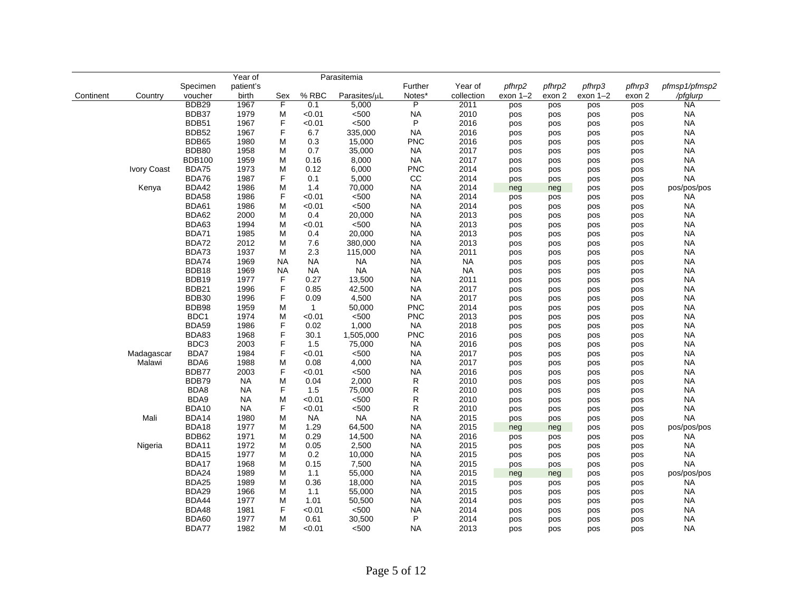|           |             |                   | Year of   |           |              | Parasitemia  |              |            |            |        |          |        |               |
|-----------|-------------|-------------------|-----------|-----------|--------------|--------------|--------------|------------|------------|--------|----------|--------|---------------|
|           |             | Specimen          | patient's |           |              |              | Further      | Year of    | pfhrp2     | pfhrp2 | pfhrp3   | pfhrp3 | pfmsp1/pfmsp2 |
| Continent | Country     | voucher           | birth     | Sex       | % RBC        | Parasites/µL | Notes*       | collection | $exon 1-2$ | exon 2 | exon 1-2 | exon 2 | /pfglurp      |
|           |             | BDB <sub>29</sub> | 1967      | F         | 0.1          | 5,000        | P            | 2011       | pos        | pos    | pos      | pos    | <b>NA</b>     |
|           |             | BDB37             | 1979      | М         | < 0.01       | < 500        | <b>NA</b>    | 2010       | pos        | pos    | pos      | pos    | <b>NA</b>     |
|           |             | BDB51             | 1967      | F         | < 0.01       | < 500        | P            | 2016       | pos        | pos    | pos      | pos    | <b>NA</b>     |
|           |             | BDB52             | 1967      | F         | 6.7          | 335,000      | <b>NA</b>    | 2016       | pos        | pos    | pos      | pos    | <b>NA</b>     |
|           |             | BDB65             | 1980      | М         | 0.3          | 15,000       | <b>PNC</b>   | 2016       | pos        | pos    | pos      | pos    | <b>NA</b>     |
|           |             | BDB80             | 1958      | M         | 0.7          | 35,000       | <b>NA</b>    | 2017       | pos        | pos    | pos      | pos    | <b>NA</b>     |
|           |             | <b>BDB100</b>     | 1959      | М         | 0.16         | 8,000        | <b>NA</b>    | 2017       | pos        | pos    | pos      | pos    | <b>NA</b>     |
|           | Ivory Coast | BDA75             | 1973      | M         | 0.12         | 6,000        | <b>PNC</b>   | 2014       | pos        | pos    | pos      | pos    | <b>NA</b>     |
|           |             | BDA76             | 1987      | F         | 0.1          | 5,000        | CC           | 2014       | pos        | pos    | pos      | pos    | <b>NA</b>     |
|           | Kenya       | BDA42             | 1986      | M         | 1.4          | 70,000       | <b>NA</b>    | 2014       | neg        | neg    | pos      | pos    | pos/pos/pos   |
|           |             | <b>BDA58</b>      | 1986      | F         | < 0.01       | < 500        | <b>NA</b>    | 2014       | pos        | pos    | pos      | pos    | <b>NA</b>     |
|           |             | BDA61             | 1986      | M         | < 0.01       | < 500        | <b>NA</b>    | 2014       | pos        | pos    | pos      | pos    | <b>NA</b>     |
|           |             | BDA62             | 2000      | M         | 0.4          | 20,000       | <b>NA</b>    | 2013       | pos        | pos    | pos      | pos    | <b>NA</b>     |
|           |             | BDA63             | 1994      | M         | < 0.01       | < 500        | <b>NA</b>    | 2013       | pos        | pos    | pos      | pos    | <b>NA</b>     |
|           |             | <b>BDA71</b>      | 1985      | M         | 0.4          | 20,000       | <b>NA</b>    | 2013       | pos        | pos    | pos      | pos    | <b>NA</b>     |
|           |             | <b>BDA72</b>      | 2012      | M         | 7.6          | 380,000      | <b>NA</b>    | 2013       | pos        | pos    | pos      | pos    | <b>NA</b>     |
|           |             | BDA73             | 1937      | M         | 2.3          | 115,000      | <b>NA</b>    | 2011       | pos        | pos    | pos      | pos    | <b>NA</b>     |
|           |             | BDA74             | 1969      | <b>NA</b> | <b>NA</b>    | <b>NA</b>    | <b>NA</b>    | <b>NA</b>  | pos        | pos    | pos      | pos    | <b>NA</b>     |
|           |             | BDB18             | 1969      | NA        | <b>NA</b>    | <b>NA</b>    | <b>NA</b>    | <b>NA</b>  | pos        | pos    | pos      | pos    | <b>NA</b>     |
|           |             | BDB19             | 1977      | F         | 0.27         | 13,500       | <b>NA</b>    | 2011       | pos        | pos    | pos      | pos    | <b>NA</b>     |
|           |             | BDB <sub>21</sub> | 1996      | F         | 0.85         | 42,500       | <b>NA</b>    | 2017       | pos        | pos    | pos      | pos    | <b>NA</b>     |
|           |             | <b>BDB30</b>      | 1996      | F         | 0.09         | 4,500        | <b>NA</b>    | 2017       | pos        | pos    | pos      | pos    | <b>NA</b>     |
|           |             | BDB98             | 1959      | M         | $\mathbf{1}$ | 50,000       | <b>PNC</b>   | 2014       | pos        | pos    | pos      | pos    | <b>NA</b>     |
|           |             | BDC1              | 1974      | M         | < 0.01       | < 500        | <b>PNC</b>   | 2013       | pos        | pos    | pos      | pos    | <b>NA</b>     |
|           |             | BDA59             | 1986      | F         | 0.02         | 1,000        | <b>NA</b>    | 2018       | pos        | pos    | pos      | pos    | <b>NA</b>     |
|           |             | BDA83             | 1968      | F         | 30.1         | 1,505,000    | <b>PNC</b>   | 2016       | pos        | pos    | pos      | pos    | <b>NA</b>     |
|           |             | BDC3              | 2003      | F         | 1.5          | 75,000       | <b>NA</b>    | 2016       | pos        | pos    | pos      | pos    | <b>NA</b>     |
|           | Madagascar  | BDA7              | 1984      | F         | < 0.01       | $500$        | <b>NA</b>    | 2017       | pos        | pos    | pos      | pos    | <b>NA</b>     |
|           | Malawi      | BDA6              | 1988      | M         | 0.08         | 4,000        | <b>NA</b>    | 2017       | pos        | pos    | pos      | pos    | <b>NA</b>     |
|           |             | BDB77             | 2003      | F         | < 0.01       | $500$        | <b>NA</b>    | 2016       | pos        | pos    | pos      | pos    | <b>NA</b>     |
|           |             | BDB79             | <b>NA</b> | M         | 0.04         | 2,000        | ${\sf R}$    | 2010       | pos        | pos    | pos      | pos    | <b>NA</b>     |
|           |             | BDA8              | <b>NA</b> | F         | 1.5          | 75,000       | $\mathsf R$  | 2010       | pos        | pos    | pos      | pos    | <b>NA</b>     |
|           |             | BDA9              | <b>NA</b> | M         | < 0.01       | $500$        | R            | 2010       | pos        | pos    | pos      | pos    | <b>NA</b>     |
|           |             | BDA10             | <b>NA</b> | F         | < 0.01       | $500$        | $\mathsf{R}$ | 2010       | pos        | pos    | pos      | pos    | <b>NA</b>     |
|           | Mali        | BDA14             | 1980      | M         | <b>NA</b>    | <b>NA</b>    | <b>NA</b>    | 2015       | pos        | pos    | pos      | pos    | <b>NA</b>     |
|           |             | BDA18             | 1977      | M         | 1.29         | 64,500       | <b>NA</b>    | 2015       | neg        | neg    | pos      | pos    | pos/pos/pos   |
|           |             | BDB62             | 1971      | M         | 0.29         | 14,500       | <b>NA</b>    | 2016       | pos        | pos    | pos      | pos    | <b>NA</b>     |
|           | Nigeria     | BDA11             | 1972      | M         | 0.05         | 2,500        | <b>NA</b>    | 2015       | pos        | pos    | pos      | pos    | <b>NA</b>     |
|           |             | <b>BDA15</b>      | 1977      | М         | 0.2          | 10,000       | <b>NA</b>    | 2015       | pos        | pos    | pos      | pos    | <b>NA</b>     |
|           |             | BDA17             | 1968      | М         | 0.15         | 7,500        | <b>NA</b>    | 2015       | pos        | pos    | pos      | pos    | <b>NA</b>     |
|           |             | BDA24             | 1989      | M         | 1.1          | 55,000       | <b>NA</b>    | 2015       | neg        | neg    | pos      | pos    | pos/pos/pos   |
|           |             | BDA25             | 1989      | М         | 0.36         | 18,000       | <b>NA</b>    | 2015       | pos        | pos    | pos      | pos    | <b>NA</b>     |
|           |             | BDA29             | 1966      | М         | 1.1          | 55,000       | <b>NA</b>    | 2015       | pos        | pos    | pos      | pos    | <b>NA</b>     |
|           |             | BDA44             | 1977      | M         | 1.01         | 50,500       | <b>NA</b>    | 2014       | pos        | pos    | pos      | pos    | <b>NA</b>     |
|           |             | BDA48             | 1981      | F         | < 0.01       | < 500        | <b>NA</b>    | 2014       | pos        | pos    | pos      | pos    | <b>NA</b>     |
|           |             | BDA60             | 1977      | M         | 0.61         | 30,500       | P            | 2014       | pos        | pos    | pos      | pos    | <b>NA</b>     |
|           |             | BDA77             | 1982      | M         | < 0.01       | < 500        | <b>NA</b>    | 2013       | pos        | pos    | pos      | pos    | <b>NA</b>     |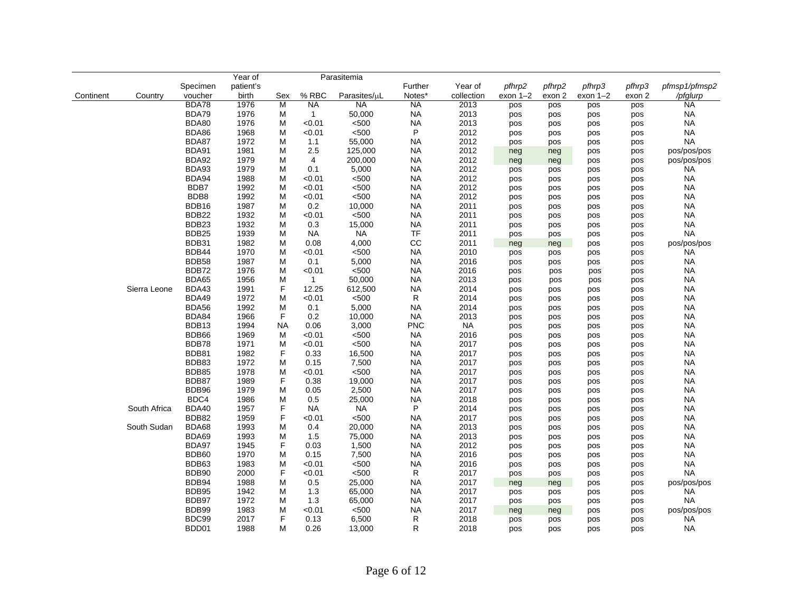|           |              |                   | Year of   |           |              | Parasitemia  |             |            |            |            |            |            |               |
|-----------|--------------|-------------------|-----------|-----------|--------------|--------------|-------------|------------|------------|------------|------------|------------|---------------|
|           |              | Specimen          | patient's |           |              |              | Further     | Year of    | pfhrp2     | pfhrp2     | pfhrp3     | pfhrp3     | pfmsp1/pfmsp2 |
| Continent | Country      | voucher           | birth     | Sex       | $%$ RBC      | Parasites/µL | Notes*      | collection | exon 1-2   | exon 2     | $exon 1-2$ | exon 2     | /pfglurp      |
|           |              | BDA78             | 1976      | M         | <b>NA</b>    | <b>NA</b>    | <b>NA</b>   | 2013       | pos        | pos        | pos        | pos        | <b>NA</b>     |
|           |              | BDA79             | 1976      | M         | $\mathbf{1}$ | 50,000       | <b>NA</b>   | 2013       | pos        | pos        | pos        | pos        | <b>NA</b>     |
|           |              | BDA80             | 1976      | M         | < 0.01       | < 500        | <b>NA</b>   | 2013       | pos        | pos        | pos        | pos        | <b>NA</b>     |
|           |              | BDA86             | 1968      | M         | < 0.01       | < 500        | $\sf P$     | 2012       | pos        | pos        | pos        | pos        | <b>NA</b>     |
|           |              | BDA87             | 1972      | M         | 1.1          | 55,000       | <b>NA</b>   | 2012       | pos        | pos        | pos        | pos        | <b>NA</b>     |
|           |              | BDA91             | 1981      | M         | 2.5          | 125,000      | <b>NA</b>   | 2012       | neg        | neg        | pos        | pos        | pos/pos/pos   |
|           |              | BDA92             | 1979      | M         | 4            | 200,000      | <b>NA</b>   | 2012       | neg        | neg        | pos        | pos        | pos/pos/pos   |
|           |              | BDA93             | 1979      | M         | 0.1          | 5,000        | <b>NA</b>   | 2012       | pos        | pos        | pos        | pos        | ΝA            |
|           |              | BDA94             | 1988      | M         | < 0.01       | < 500        | <b>NA</b>   | 2012       | pos        | pos        | pos        | pos        | <b>NA</b>     |
|           |              | BDB7              | 1992      | M         | < 0.01       | $500$        | <b>NA</b>   | 2012       | pos        | pos        | pos        | pos        | <b>NA</b>     |
|           |              | BDB8              | 1992      | M         | < 0.01       | < 500        | <b>NA</b>   | 2012       | pos        | pos        | pos        | pos        | <b>NA</b>     |
|           |              | BDB16             | 1987      | M         | 0.2          | 10,000       | <b>NA</b>   | 2011       | pos        | pos        | pos        | pos        | <b>NA</b>     |
|           |              | BDB22             | 1932      | M         | < 0.01       | < 500        | <b>NA</b>   | 2011       | pos        | pos        | pos        | pos        | NA            |
|           |              | BDB <sub>23</sub> | 1932      | M         | 0.3          | 15,000       | <b>NA</b>   | 2011       | pos        | pos        | pos        | pos        | <b>NA</b>     |
|           |              | BDB25             | 1939      | M         | <b>NA</b>    | <b>NA</b>    | <b>TF</b>   | 2011       | pos        | pos        | pos        | pos        | <b>NA</b>     |
|           |              | BDB31             | 1982      | M         | 0.08         | 4,000        | CC          | 2011       | neg        | neg        | pos        | pos        | pos/pos/pos   |
|           |              | BDB44             | 1970      | M         | < 0.01       | $500$        | <b>NA</b>   | 2010       | pos        | pos        | pos        | pos        | <b>NA</b>     |
|           |              | BDB58             | 1987      | M         | 0.1          | 5,000        | <b>NA</b>   | 2016       | pos        | pos        | pos        | pos        | <b>NA</b>     |
|           |              | BDB72             | 1976      | M         | < 0.01       | < 500        | <b>NA</b>   | 2016       | pos        | pos        | pos        | pos        | <b>NA</b>     |
|           |              | BDA65             | 1956      | M         | $\mathbf{1}$ | 50,000       | <b>NA</b>   | 2013       | pos        | pos        | pos        | pos        | <b>NA</b>     |
|           | Sierra Leone | BDA43             | 1991      | F         | 12.25        | 612,500      | <b>NA</b>   | 2014       | pos        | pos        | pos        | pos        | <b>NA</b>     |
|           |              | BDA49             | 1972      | M         | < 0.01       | < 500        | $\mathsf R$ | 2014       | pos        | pos        | pos        | pos        | <b>NA</b>     |
|           |              | <b>BDA56</b>      | 1992      | M         | 0.1          | 5,000        | <b>NA</b>   | 2014       | pos        | pos        | pos        | pos        | <b>NA</b>     |
|           |              | BDA84             | 1966      | F         | 0.2          | 10,000       | <b>NA</b>   | 2013       | pos        | pos        | pos        | pos        | NA            |
|           |              | BDB13             | 1994      | <b>NA</b> | 0.06         | 3,000        | <b>PNC</b>  | <b>NA</b>  | pos        | pos        | pos        | pos        | <b>NA</b>     |
|           |              | BDB66             | 1969      | M         | < 0.01       | < 500        | <b>NA</b>   | 2016       | pos        | pos        | pos        | pos        | <b>NA</b>     |
|           |              | BDB78             | 1971      | M         | < 0.01       | $500$        | <b>NA</b>   | 2017       | pos        | pos        | pos        | pos        | ΝA            |
|           |              | BDB81             | 1982      | F         | 0.33         | 16,500       | <b>NA</b>   | 2017       | pos        | pos        | pos        | pos        | NA            |
|           |              | BDB83             | 1972      | M         | 0.15         | 7,500        | <b>NA</b>   | 2017       | pos        | pos        | pos        | pos        | <b>NA</b>     |
|           |              | <b>BDB85</b>      | 1978      | M         | < 0.01       | < 500        | <b>NA</b>   | 2017       | pos        | pos        | pos        | pos        | <b>NA</b>     |
|           |              | BDB87             | 1989      | F         | 0.38         | 19,000       | <b>NA</b>   | 2017       | pos        | pos        | pos        | pos        | ΝA            |
|           |              | BDB96             | 1979      | M         | 0.05         | 2,500        | <b>NA</b>   | 2017       | pos        | pos        | pos        | pos        | NA            |
|           |              | BDC4              | 1986      | M         | 0.5          | 25,000       | <b>NA</b>   | 2018       | pos        | pos        | pos        | pos        | NA            |
|           | South Africa | <b>BDA40</b>      | 1957      | F         | NA           | <b>NA</b>    | $\sf P$     | 2014       | pos        | pos        | pos        | pos        | <b>NA</b>     |
|           |              | BDB82             | 1959      | F         | < 0.01       | $500$        | <b>NA</b>   | 2017       | pos        | pos        | pos        | pos        | <b>NA</b>     |
|           | South Sudan  | BDA68             | 1993      | M         | 0.4          | 20,000       | <b>NA</b>   | 2013       | pos        | pos        | pos        | pos        | NA            |
|           |              | BDA69             | 1993      | M         | 1.5          | 75,000       | <b>NA</b>   | 2013       | pos        | pos        | pos        | pos        | <b>NA</b>     |
|           |              | BDA97             | 1945      | F         | 0.03         | 1,500        | <b>NA</b>   | 2012       | pos        | pos        | pos        | pos        | <b>NA</b>     |
|           |              | BDB60             | 1970      | M         | 0.15         | 7,500        | <b>NA</b>   | 2016       | pos        | pos        | pos        | pos        | <b>NA</b>     |
|           |              | BDB63             | 1983      | M         | < 0.01       | $500$        | <b>NA</b>   | 2016       | pos        | pos        | pos        | pos        | <b>NA</b>     |
|           |              | BDB90             | 2000      | F         | < 0.01       | $500$        | $\mathsf R$ | 2017       | pos        | pos        | pos        | pos        | <b>NA</b>     |
|           |              | BDB94             | 1988      | M         | 0.5          | 25,000       | <b>NA</b>   | 2017       | neg        | neg        | pos        | pos        | pos/pos/pos   |
|           |              | BDB95             | 1942      | M         | 1.3          | 65,000       | <b>NA</b>   | 2017       | pos        | pos        | pos        | pos        | NA            |
|           |              | BDB97             | 1972      | M         | 1.3          | 65,000       | <b>NA</b>   | 2017       |            |            |            |            | NA            |
|           |              | BDB99             | 1983      | M         | < 0.01       | < 500        | <b>NA</b>   | 2017       | pos        | pos        | pos<br>pos | pos        | pos/pos/pos   |
|           |              | BDC99             | 2017      | F         | 0.13         | 6,500        | $\mathsf R$ | 2018       | neg<br>pos | neg<br>pos | pos        | pos<br>pos | <b>NA</b>     |
|           |              | BDD01             | 1988      | M         | 0.26         | 13,000       | R           | 2018       | pos        | pos        | pos        | <b>DOS</b> | NA            |
|           |              |                   |           |           |              |              |             |            |            |            |            |            |               |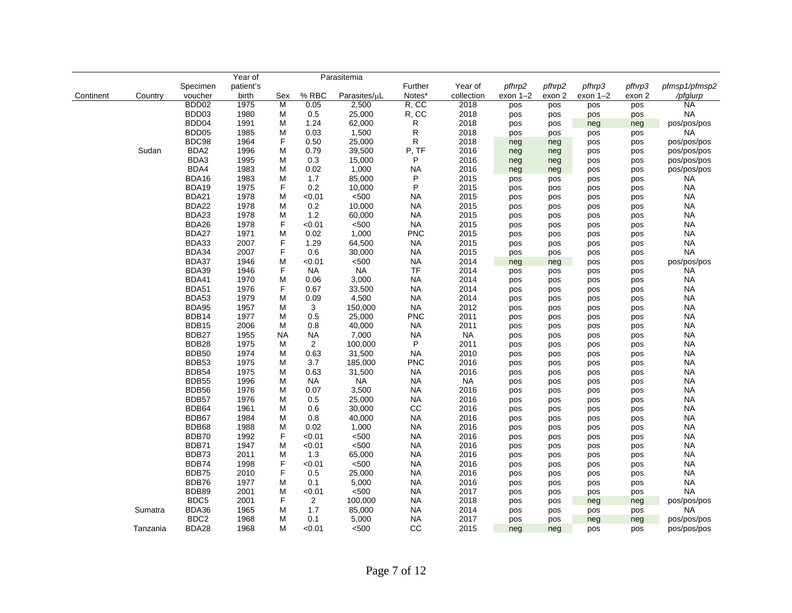|           |          |                   | Year of   |     |                | Parasitemia  |            |            |            |        |            |        |               |
|-----------|----------|-------------------|-----------|-----|----------------|--------------|------------|------------|------------|--------|------------|--------|---------------|
|           |          | Specimen          | patient's |     |                |              | Further    | Year of    | pfhrp2     | pfhrp2 | pfhrp3     | pfhrp3 | pfmsp1/pfmsp2 |
| Continent | Country  | voucher           | birth     | Sex | % RBC          | Parasites/µL | Notes*     | collection | $exon 1-2$ | exon 2 | $exon 1-2$ | exon 2 | /pfglurp      |
|           |          | BDD <sub>02</sub> | 1975      | M   | 0.05           | 2,500        | R, CC      | 2018       | pos        | pos    | pos        | pos    | <b>NA</b>     |
|           |          | BDD03             | 1980      | M   | 0.5            | 25,000       | R, CC      | 2018       | pos        | pos    | pos        | pos    | <b>NA</b>     |
|           |          | BDD04             | 1991      | M   | 1.24           | 62,000       | R          | 2018       | pos        | pos    | neg        | neg    | pos/pos/pos   |
|           |          | BDD <sub>05</sub> | 1985      | M   | 0.03           | 1,500        | R          | 2018       | pos        | pos    | pos        | pos    | <b>NA</b>     |
|           |          | BDC98             | 1964      | F   | 0.50           | 25,000       | R          | 2018       | neg        | neg    | pos        | pos    | pos/pos/pos   |
|           | Sudan    | BDA2              | 1996      | M   | 0.79           | 39,500       | P, TF      | 2016       | neg        | neg    | pos        | pos    | pos/pos/pos   |
|           |          | BDA3              | 1995      | M   | 0.3            | 15,000       | P          | 2016       | neg        | neg    | pos        | pos    | pos/pos/pos   |
|           |          | BDA4              | 1983      | M   | 0.02           | 1,000        | <b>NA</b>  | 2016       | neg        | neg    | pos        | pos    | pos/pos/pos   |
|           |          | BDA16             | 1983      | M   | 1.7            | 85,000       | P          | 2015       | pos        | pos    | pos        | pos    | <b>NA</b>     |
|           |          | BDA19             | 1975      | F   | 0.2            | 10,000       | P          | 2015       | pos        | pos    | pos        | pos    | <b>NA</b>     |
|           |          | BDA21             | 1978      | M   | < 0.01         | < 500        | <b>NA</b>  | 2015       | pos        | pos    | pos        | pos    | <b>NA</b>     |
|           |          | <b>BDA22</b>      | 1978      | M   | 0.2            | 10,000       | <b>NA</b>  | 2015       | pos        | pos    | pos        | pos    | <b>NA</b>     |
|           |          | BDA23             | 1978      | M   | 1.2            | 60,000       | <b>NA</b>  | 2015       | pos        | pos    | pos        | pos    | <b>NA</b>     |
|           |          | BDA26             | 1978      | F   | < 0.01         | < 500        | <b>NA</b>  | 2015       | pos        | pos    | pos        | pos    | <b>NA</b>     |
|           |          | BDA27             | 1971      | M   | 0.02           | 1,000        | <b>PNC</b> | 2015       | pos        | pos    | pos        | pos    | <b>NA</b>     |
|           |          | BDA33             | 2007      | F   | 1.29           | 64,500       | <b>NA</b>  | 2015       | pos        | pos    | pos        | pos    | <b>NA</b>     |
|           |          | BDA34             | 2007      | F   | 0.6            | 30,000       | <b>NA</b>  | 2015       | pos        | pos    | pos        | pos    | <b>NA</b>     |
|           |          | BDA37             | 1946      | M   | < 0.01         | < 500        | <b>NA</b>  | 2014       | neg        | neg    | pos        | pos    | pos/pos/pos   |
|           |          | BDA39             | 1946      | F   | <b>NA</b>      | <b>NA</b>    | TF         | 2014       | pos        | pos    | pos        | pos    | <b>NA</b>     |
|           |          | <b>BDA41</b>      | 1970      | M   | 0.06           | 3,000        | <b>NA</b>  | 2014       | pos        | pos    | pos        | pos    | <b>NA</b>     |
|           |          | <b>BDA51</b>      | 1976      | F   | 0.67           | 33,500       | <b>NA</b>  | 2014       | pos        | pos    | pos        | pos    | <b>NA</b>     |
|           |          | <b>BDA53</b>      | 1979      | M   | 0.09           | 4,500        | <b>NA</b>  | 2014       | pos        | pos    | pos        | pos    | <b>NA</b>     |
|           |          | <b>BDA95</b>      | 1957      | M   | 3              | 150,000      | <b>NA</b>  | 2012       | pos        | pos    | pos        | pos    | <b>NA</b>     |
|           |          | BDB14             | 1977      | M   | 0.5            | 25,000       | <b>PNC</b> | 2011       | pos        | pos    | pos        | pos    | <b>NA</b>     |
|           |          | BDB15             | 2006      | M   | 0.8            | 40,000       | <b>NA</b>  | 2011       | pos        | pos    | pos        | pos    | <b>NA</b>     |
|           |          | BDB27             | 1955      | NA  | <b>NA</b>      | 7,000        | <b>NA</b>  | <b>NA</b>  | pos        | pos    | pos        | pos    | <b>NA</b>     |
|           |          | BDB28             | 1975      | M   | 2              | 100,000      | P          | 2011       | pos        | pos    | pos        | pos    | <b>NA</b>     |
|           |          | <b>BDB50</b>      | 1974      | M   | 0.63           | 31,500       | <b>NA</b>  | 2010       | pos        | pos    | pos        | pos    | <b>NA</b>     |
|           |          | BDB53             | 1975      | M   | 3.7            | 185,000      | <b>PNC</b> | 2016       | pos        | pos    | pos        | pos    | <b>NA</b>     |
|           |          | BDB54             | 1975      | M   | 0.63           | 31,500       | <b>NA</b>  | 2016       | pos        | pos    | pos        | pos    | <b>NA</b>     |
|           |          | <b>BDB55</b>      | 1996      | M   | <b>NA</b>      | <b>NA</b>    | <b>NA</b>  | <b>NA</b>  | pos        | pos    | pos        | pos    | <b>NA</b>     |
|           |          | <b>BDB56</b>      | 1976      | M   | 0.07           | 3,500        | <b>NA</b>  | 2016       | pos        | pos    | pos        | pos    | <b>NA</b>     |
|           |          | BDB57             | 1976      | M   | 0.5            | 25,000       | <b>NA</b>  | 2016       | pos        | pos    | pos        | pos    | <b>NA</b>     |
|           |          | BDB64             | 1961      | M   | 0.6            | 30,000       | CC         | 2016       | pos        | pos    | pos        | pos    | <b>NA</b>     |
|           |          | BDB67             | 1984      | M   | 0.8            | 40,000       | <b>NA</b>  | 2016       | pos        | pos    | pos        | pos    | <b>NA</b>     |
|           |          | BDB68             | 1988      | M   | 0.02           | 1,000        | <b>NA</b>  | 2016       | pos        | pos    | pos        | pos    | <b>NA</b>     |
|           |          | BDB70             | 1992      | F   | < 0.01         | < 500        | <b>NA</b>  | 2016       | pos        | pos    | pos        | pos    | <b>NA</b>     |
|           |          | BDB71             | 1947      | M   | < 0.01         | < 500        | <b>NA</b>  | 2016       | pos        | pos    | pos        | pos    | <b>NA</b>     |
|           |          | BDB73             | 2011      | M   | 1.3            | 65,000       | <b>NA</b>  | 2016       | pos        | pos    | pos        | pos    | <b>NA</b>     |
|           |          | BDB74             | 1998      | F   | < 0.01         | $500$        | <b>NA</b>  | 2016       | pos        | pos    | pos        | pos    | <b>NA</b>     |
|           |          | BDB75             | 2010      | F   | 0.5            | 25,000       | <b>NA</b>  | 2016       | pos        | pos    | pos        | pos    | <b>NA</b>     |
|           |          | BDB76             | 1977      | M   | 0.1            | 5,000        | <b>NA</b>  | 2016       | pos        | pos    | pos        | pos    | <b>NA</b>     |
|           |          | BDB89             | 2001      | M   | < 0.01         | < 500        | <b>NA</b>  | 2017       | pos        | pos    | pos        | pos    | <b>NA</b>     |
|           |          | BDC <sub>5</sub>  | 2001      | F   | $\overline{2}$ | 100,000      | <b>NA</b>  | 2018       | pos        | pos    | neg        | neg    | pos/pos/pos   |
|           | Sumatra  | BDA36             | 1965      | M   | 1.7            | 85,000       | <b>NA</b>  | 2014       | pos        | pos    | pos        | pos    | <b>NA</b>     |
|           |          | BDC <sub>2</sub>  | 1968      | M   | 0.1            | 5,000        | <b>NA</b>  | 2017       | pos        | pos    | neg        | neg    | pos/pos/pos   |
|           | Tanzania | BDA28             | 1968      | M   | < 0.01         | < 500        | CC         | 2015       | neg        | nea    | pos        | pos    | pos/pos/pos   |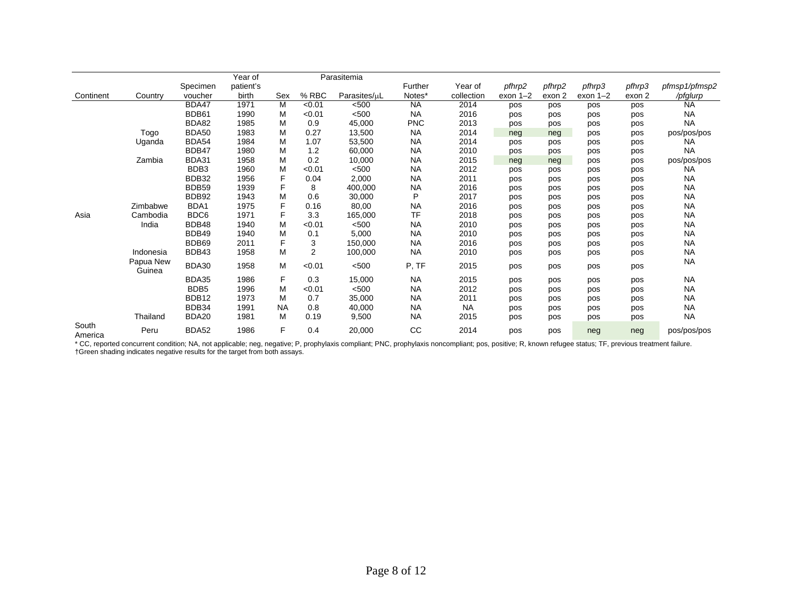|                  |                     |                     | Year of            |           |                | Parasitemia  |                   |                       |                      |                  |                      |                  |                           |
|------------------|---------------------|---------------------|--------------------|-----------|----------------|--------------|-------------------|-----------------------|----------------------|------------------|----------------------|------------------|---------------------------|
| Continent        | Country             | Specimen<br>voucher | patient's<br>birth | Sex       | % RBC          | Parasites/uL | Further<br>Notes* | Year of<br>collection | pfhrp2<br>$exon 1-2$ | pfhrp2<br>exon 2 | pfhrp3<br>exon $1-2$ | pfhrp3<br>exon 2 | pfmsp1/pfmsp2<br>/pfglurp |
|                  |                     | BDA47               | 1971               | M         | < 0.01         | < 500        | <b>NA</b>         | 2014                  | pos                  | pos              | pos                  | pos              | <b>NA</b>                 |
|                  |                     | BDB61               | 1990               | М         | < 0.01         | < 500        | <b>NA</b>         | 2016                  | pos                  | pos              | pos                  | pos              | <b>NA</b>                 |
|                  |                     | BDA82               | 1985               | M         | 0.9            | 45,000       | <b>PNC</b>        | 2013                  | pos                  | pos              | pos                  | pos              | <b>NA</b>                 |
|                  | Togo                | <b>BDA50</b>        | 1983               | M         | 0.27           | 13,500       | <b>NA</b>         | 2014                  | neg                  | neg              | pos                  | pos              | pos/pos/pos               |
|                  | Uganda              | <b>BDA54</b>        | 1984               | M         | 1.07           | 53,500       | <b>NA</b>         | 2014                  | pos                  | pos              | pos                  | pos              | <b>NA</b>                 |
|                  |                     | BDB47               | 1980               | M         | 1.2            | 60,000       | <b>NA</b>         | 2010                  | pos                  | pos              | pos                  | pos              | <b>NA</b>                 |
|                  | Zambia              | BDA31               | 1958               | M         | 0.2            | 10,000       | <b>NA</b>         | 2015                  | neg                  | neg              | pos                  | pos              | pos/pos/pos               |
|                  |                     | BDB3                | 1960               | M         | < 0.01         | < 500        | <b>NA</b>         | 2012                  | pos                  | pos              | pos                  | pos              | <b>NA</b>                 |
|                  |                     | <b>BDB32</b>        | 1956               | F         | 0.04           | 2,000        | <b>NA</b>         | 2011                  | pos                  | pos              | pos                  | pos              | <b>NA</b>                 |
|                  |                     | <b>BDB59</b>        | 1939               | F         | 8              | 400,000      | <b>NA</b>         | 2016                  | pos                  | pos              | pos                  | pos              | <b>NA</b>                 |
|                  |                     | BDB92               | 1943               | M         | 0.6            | 30,000       | P                 | 2017                  | pos                  | pos              | pos                  | pos              | <b>NA</b>                 |
|                  | Zimbabwe            | BDA1                | 1975               | F         | 0.16           | 80,00        | <b>NA</b>         | 2016                  | pos                  | pos              | pos                  | pos              | <b>NA</b>                 |
| Asia             | Cambodia            | BDC6                | 1971               | F         | 3.3            | 165,000      | <b>TF</b>         | 2018                  | pos                  | pos              | pos                  | pos              | <b>NA</b>                 |
|                  | India               | BDB48               | 1940               | M         | < 0.01         | < 500        | <b>NA</b>         | 2010                  | pos                  | pos              | pos                  | pos              | <b>NA</b>                 |
|                  |                     | BDB49               | 1940               | M         | 0.1            | 5,000        | <b>NA</b>         | 2010                  | pos                  | pos              | pos                  | pos              | <b>NA</b>                 |
|                  |                     | BDB69               | 2011               | F         | 3              | 150,000      | <b>NA</b>         | 2016                  | pos                  | pos              | pos                  | pos              | <b>NA</b>                 |
|                  | Indonesia           | BDB43               | 1958               | M         | $\overline{2}$ | 100,000      | <b>NA</b>         | 2010                  | pos                  | pos              | pos                  | pos              | <b>NA</b>                 |
|                  | Papua New<br>Guinea | BDA30               | 1958               | М         | < 0.01         | < 500        | P, TF             | 2015                  | pos                  | pos              | pos                  | pos              | <b>NA</b>                 |
|                  |                     | BDA35               | 1986               | F         | 0.3            | 15,000       | <b>NA</b>         | 2015                  | pos                  | pos              | pos                  | pos              | <b>NA</b>                 |
|                  |                     | BDB <sub>5</sub>    | 1996               | М         | < 0.01         | < 500        | <b>NA</b>         | 2012                  | pos                  | pos              | pos                  | pos              | <b>NA</b>                 |
|                  |                     | BDB12               | 1973               | M         | 0.7            | 35,000       | <b>NA</b>         | 2011                  | pos                  | pos              | pos                  | pos              | <b>NA</b>                 |
|                  |                     | BDB34               | 1991               | <b>NA</b> | 0.8            | 40,000       | <b>NA</b>         | <b>NA</b>             | pos                  | pos              | pos                  | pos              | <b>NA</b>                 |
|                  | Thailand            | BDA20               | 1981               | M         | 0.19           | 9,500        | <b>NA</b>         | 2015                  | pos                  | pos              | pos                  | pos              | <b>NA</b>                 |
| South<br>America | Peru                | <b>BDA52</b>        | 1986               | F         | 0.4            | 20,000       | cc                | 2014                  | pos                  | pos              | neg                  | neg              | pos/pos/pos               |

\* CC, reported concurrent condition; NA, not applicable; neg, negative; P, prophylaxis compliant; PNC, prophylaxis noncompliant; pos, positive; R, known refugee status; TF, previous treatment failure. †Green shading indicates negative results for the target from both assays.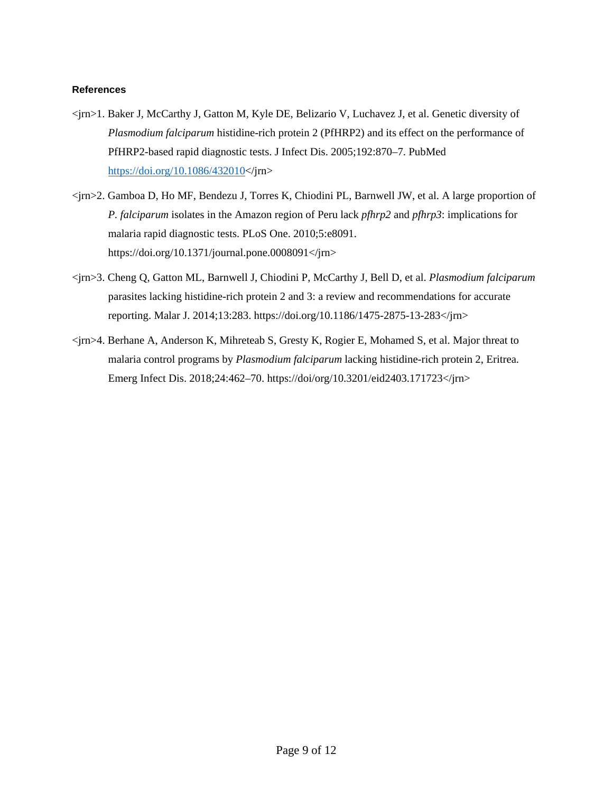## **References**

- <jrn>1. Baker J, McCarthy J, Gatton M, Kyle DE, Belizario V, Luchavez J, et al. Genetic diversity of *Plasmodium falciparum* histidine-rich protein 2 (PfHRP2) and its effect on the performance of PfHRP2-based rapid diagnostic tests. J Infect Dis. 2005;192:870–7. [PubMed](https://www.ncbi.nlm.nih.gov/entrez/query.fcgi?cmd=Retrieve&db=PubMed&list_uids=16088837&dopt=Abstract) [https://doi.org/10.1086/432010<](https://doi.org/10.1086/432010)/jrn>
- <jrn>2. Gamboa D, Ho MF, Bendezu J, Torres K, Chiodini PL, Barnwell JW, et al. A large proportion of *P. falciparum* isolates in the Amazon region of Peru lack *pfhrp2* and *pfhrp3*: implications for malaria rapid diagnostic tests. PLoS One. 2010;5:e8091. https://doi.org/10.1371/journal.pone.0008091</jrn>
- <jrn>3. Cheng Q, Gatton ML, Barnwell J, Chiodini P, McCarthy J, Bell D, et al. *Plasmodium falciparum* parasites lacking histidine-rich protein 2 and 3: a review and recommendations for accurate reporting. Malar J. 2014;13:283. https://doi.org/10.1186/1475-2875-13-283</jrn>
- <jrn>4. Berhane A, Anderson K, Mihreteab S, Gresty K, Rogier E, Mohamed S, et al. Major threat to malaria control programs by *Plasmodium falciparum* lacking histidine-rich protein 2, Eritrea. Emerg Infect Dis. 2018;24:462–70. https://doi/org/10.3201/eid2403.171723</jrn>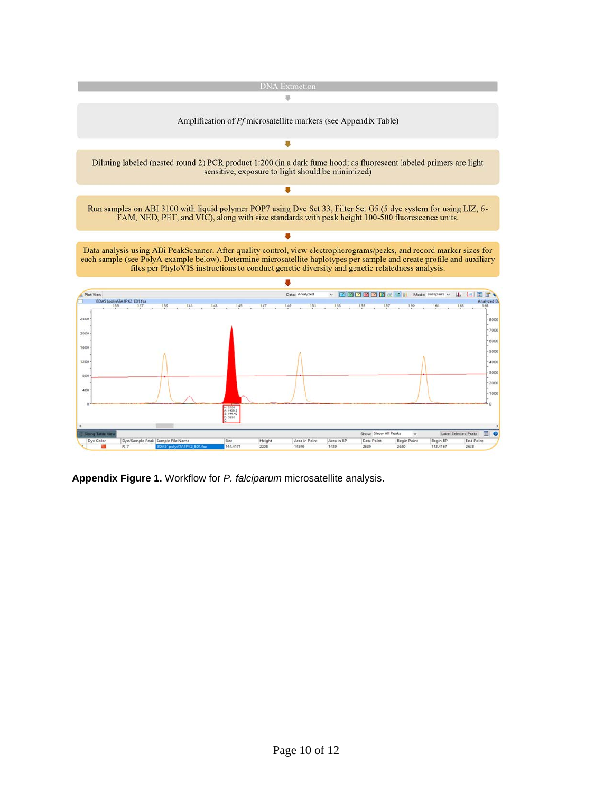

**Appendix Figure 1.** Workflow for *P. falciparum* microsatellite analysis.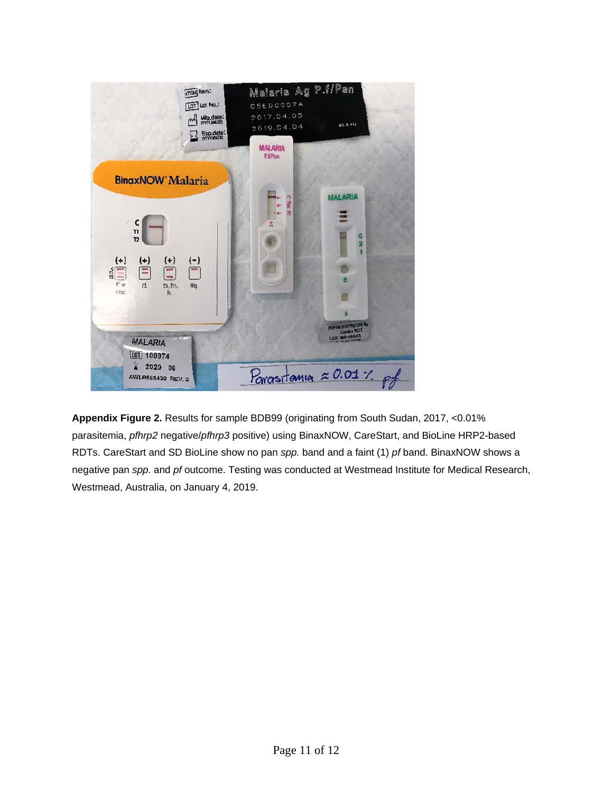

**Appendix Figure 2.** Results for sample BDB99 (originating from South Sudan, 2017, <0.01% parasitemia, *pfhrp2* negative/*pfhrp3* positive) using BinaxNOW, CareStart, and BioLine HRP2-based RDTs. CareStart and SD BioLine show no pan *spp.* band and a faint (1) *pf* band. BinaxNOW shows a negative pan *spp.* and *pf* outcome. Testing was conducted at Westmead Institute for Medical Research, Westmead, Australia, on January 4, 2019.